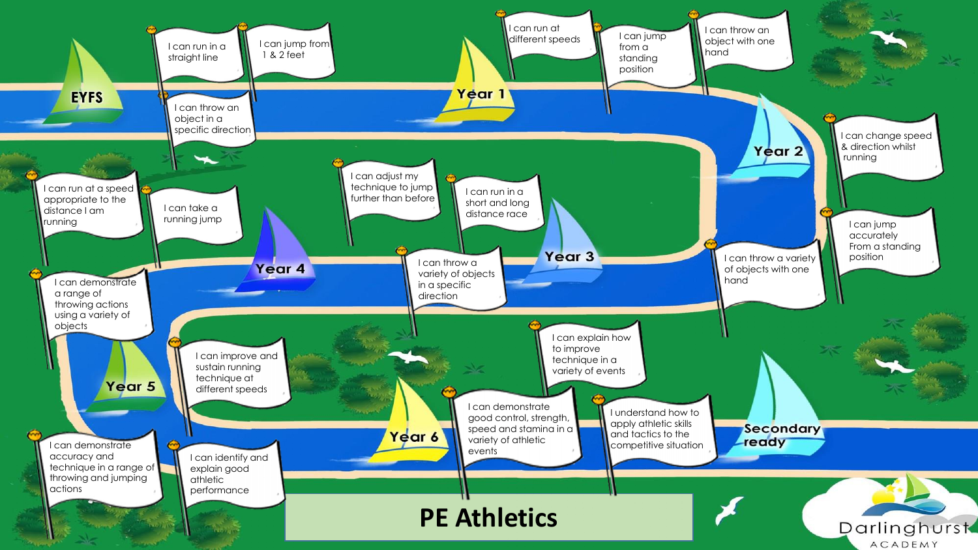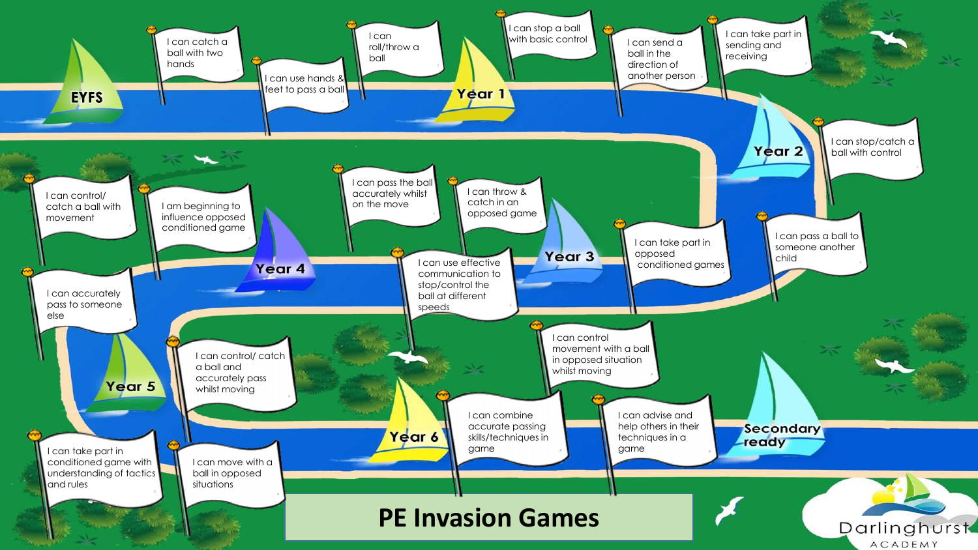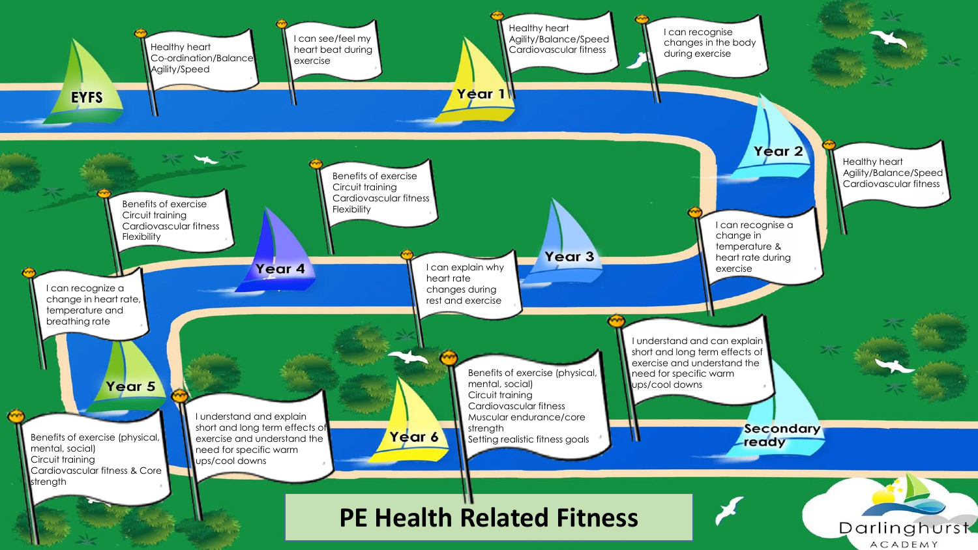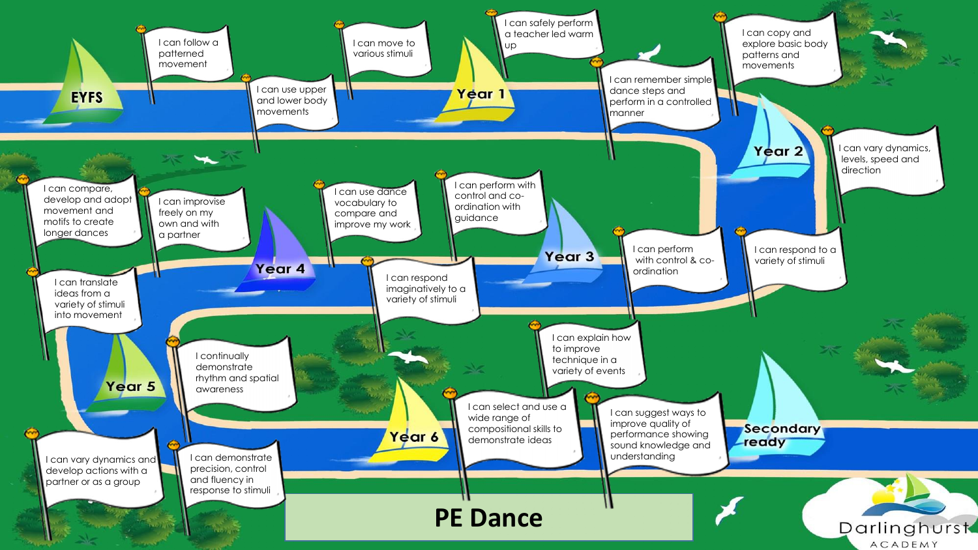